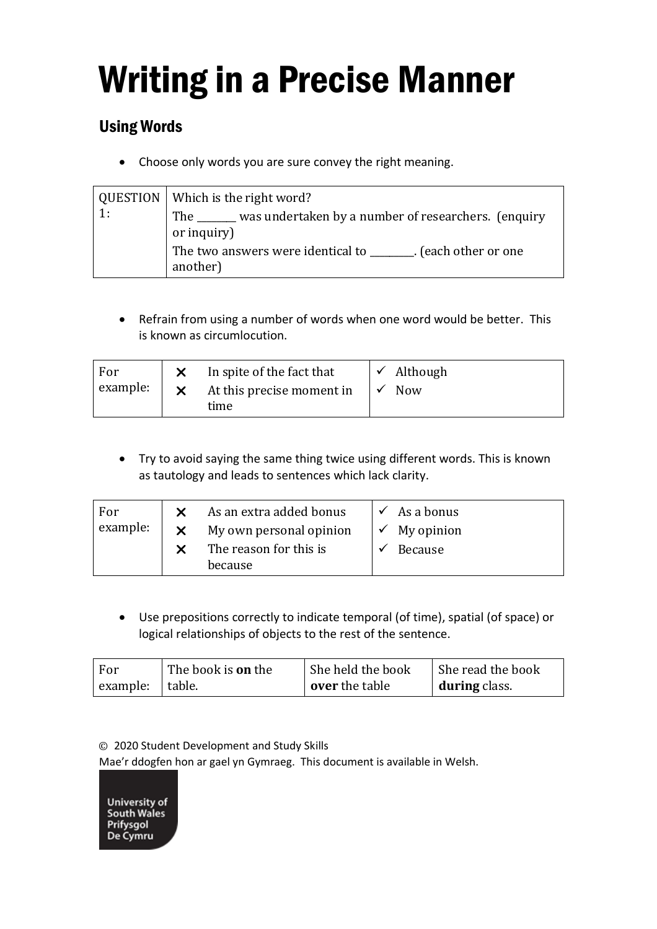## Writing in a Precise Manner

## Using Words

• Choose only words you are sure convey the right meaning.

|    | QUESTION   Which is the right word?                                           |  |  |
|----|-------------------------------------------------------------------------------|--|--|
| 1: | The ______ was undertaken by a number of researchers. (enquiry<br>or inquiry) |  |  |
|    | The two answers were identical to _______. (each other or one<br>another)     |  |  |

• Refrain from using a number of words when one word would be better. This is known as circumlocution.

| For<br>example: |  | In spite of the fact that<br>$\mathsf{\times}$ At this precise moment in<br>time |  | $\checkmark$ Although<br><b>Now</b> |
|-----------------|--|----------------------------------------------------------------------------------|--|-------------------------------------|
|-----------------|--|----------------------------------------------------------------------------------|--|-------------------------------------|

• Try to avoid saying the same thing twice using different words. This is known as tautology and leads to sentences which lack clarity.

| For<br>example: | As an extra added bonus<br>My own personal opinion | $\checkmark$ As a bonus<br>$\checkmark$ My opinion |
|-----------------|----------------------------------------------------|----------------------------------------------------|
|                 | The reason for this is<br>because                  | <b>Because</b>                                     |

• Use prepositions correctly to indicate temporal (of time), spatial (of space) or logical relationships of objects to the rest of the sentence.

| For             | The book is <b>on</b> the | She held the book | She read the book |
|-----------------|---------------------------|-------------------|-------------------|
| example: table. |                           | over the table    | during class.     |

© 2020 Student Development and Study Skills

Mae'r ddogfen hon ar gael yn Gymraeg. This document is available in Welsh.

University of South Wales Prifysgol<br>De Cymru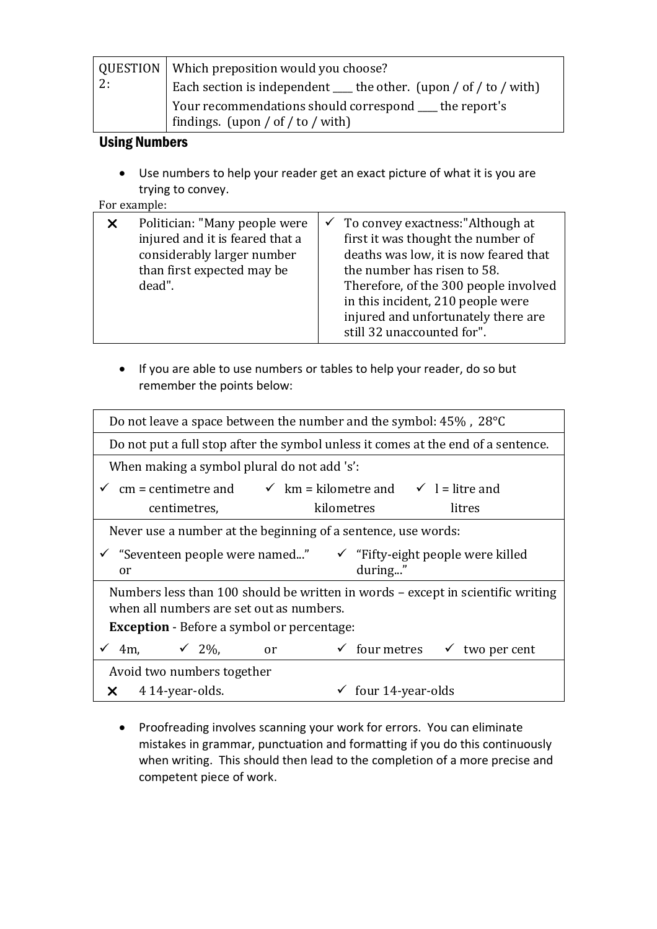|    | QUESTION   Which preposition would you choose?                                                |  |  |
|----|-----------------------------------------------------------------------------------------------|--|--|
| 2: | Each section is independent $\_\_$ the other. (upon / of / to / with)                         |  |  |
|    | Your recommendations should correspond ____ the report's<br>findings. (upon / of / to / with) |  |  |

## Using Numbers

• Use numbers to help your reader get an exact picture of what it is you are trying to convey.

## For example:

|  | Politician: "Many people were<br>injured and it is feared that a<br>considerably larger number<br>than first expected may be<br>dead". |  | $\checkmark$ To convey exactness: "Although at<br>first it was thought the number of<br>deaths was low, it is now feared that<br>the number has risen to 58.<br>Therefore, of the 300 people involved<br>in this incident, 210 people were<br>injured and unfortunately there are<br>still 32 unaccounted for". |
|--|----------------------------------------------------------------------------------------------------------------------------------------|--|-----------------------------------------------------------------------------------------------------------------------------------------------------------------------------------------------------------------------------------------------------------------------------------------------------------------|
|--|----------------------------------------------------------------------------------------------------------------------------------------|--|-----------------------------------------------------------------------------------------------------------------------------------------------------------------------------------------------------------------------------------------------------------------------------------------------------------------|

• If you are able to use numbers or tables to help your reader, do so but remember the points below:

| Do not leave a space between the number and the symbol: 45%, 28°C                                                           |  |  |  |  |
|-----------------------------------------------------------------------------------------------------------------------------|--|--|--|--|
| Do not put a full stop after the symbol unless it comes at the end of a sentence.                                           |  |  |  |  |
| When making a symbol plural do not add 's':                                                                                 |  |  |  |  |
| $\checkmark$ cm = centimetre and $\checkmark$ km = kilometre and $\checkmark$ l = litre and                                 |  |  |  |  |
| kilometres<br>litres<br>centimetres,                                                                                        |  |  |  |  |
| Never use a number at the beginning of a sentence, use words:                                                               |  |  |  |  |
| $\checkmark$ "Seventeen people were named"<br>$\checkmark$ "Fifty-eight people were killed<br>during"<br>or                 |  |  |  |  |
| Numbers less than 100 should be written in words - except in scientific writing<br>when all numbers are set out as numbers. |  |  |  |  |
| <b>Exception</b> - Before a symbol or percentage:                                                                           |  |  |  |  |
| 4m, $\sqrt{2\%}$ ,<br>$\checkmark$ four metres<br>two per cent<br>$\checkmark$<br><sub>or</sub>                             |  |  |  |  |
| Avoid two numbers together                                                                                                  |  |  |  |  |
| $\checkmark$ four 14-year-olds<br>4 14-year-olds.<br>x                                                                      |  |  |  |  |

• Proofreading involves scanning your work for errors. You can eliminate mistakes in grammar, punctuation and formatting if you do this continuously when writing. This should then lead to the completion of a more precise and competent piece of work.